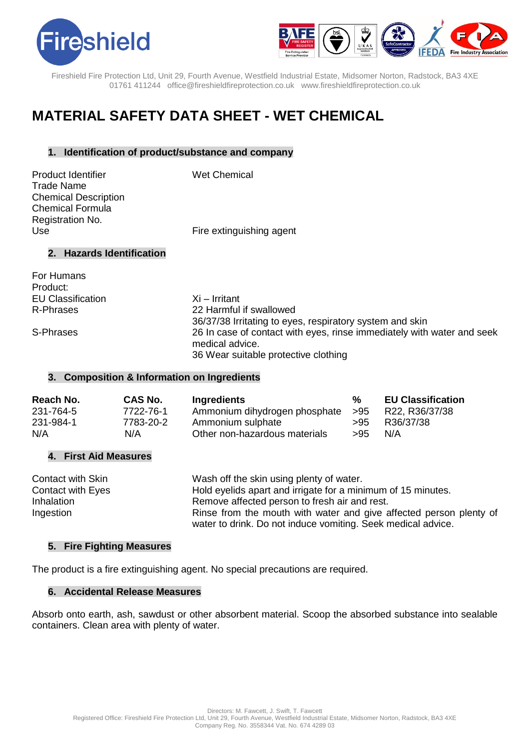



Fireshield Fire Protection Ltd, Unit 29, Fourth Avenue, Westfield Industrial Estate, Midsomer Norton, Radstock, BA3 4XE 01761 411244 office@fireshieldfireprotection.co.uk [www.fireshieldfireprotection.co.uk](http://www.fireshieldfireprotection.co.uk/)

# **MATERIAL SAFETY DATA SHEET - WET CHEMICAL**

### **1. Identification of product/substance and company**

Product Identifier Wet Chemical Trade Name Chemical Description Chemical Formula Registration No.

Use **Fire extinguishing agent** 

### **2. Hazards Identification**

For Humans Product: EU Classification Xi – Irritant

R-Phrases 22 Harmful if swallowed 36/37/38 Irritating to eyes, respiratory system and skin S-Phrases 26 In case of contact with eyes, rinse immediately with water and seek medical advice. 36 Wear suitable protective clothing

# **3. Composition & Information on Ingredients**

| Reach No. | <b>CAS No.</b> | Ingredients                       | %   | <b>EU Classification</b> |
|-----------|----------------|-----------------------------------|-----|--------------------------|
| 231-764-5 | 7722-76-1      | Ammonium dihydrogen phosphate >95 |     | R22, R36/37/38           |
| 231-984-1 | 7783-20-2      | Ammonium sulphate                 | >95 | R36/37/38                |
| N/A       | N/A            | Other non-hazardous materials     | >95 | N/A                      |

# **4. First Aid Measures**

| Contact with Skin | Wash off the skin using plenty of water.                                                                                           |
|-------------------|------------------------------------------------------------------------------------------------------------------------------------|
| Contact with Eyes | Hold eyelids apart and irrigate for a minimum of 15 minutes.                                                                       |
| Inhalation        | Remove affected person to fresh air and rest.                                                                                      |
| Ingestion         | Rinse from the mouth with water and give affected person plenty of<br>water to drink. Do not induce vomiting. Seek medical advice. |

#### **5. Fire Fighting Measures**

The product is a fire extinguishing agent. No special precautions are required.

#### **6. Accidental Release Measures**

Absorb onto earth, ash, sawdust or other absorbent material. Scoop the absorbed substance into sealable containers. Clean area with plenty of water.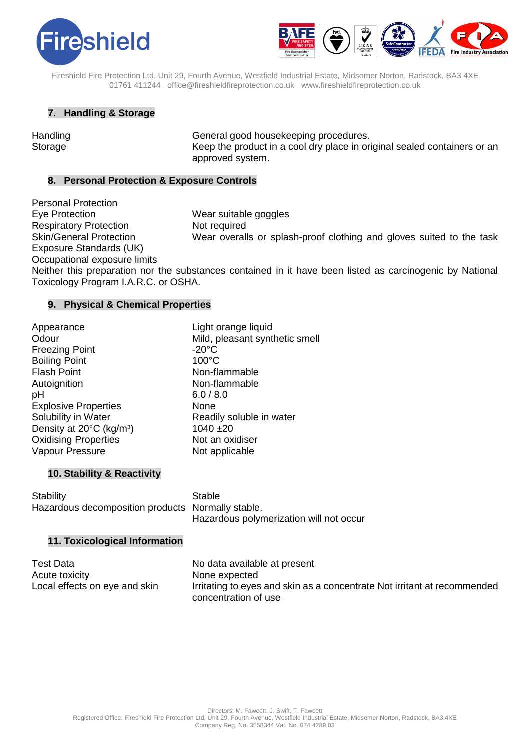



Fireshield Fire Protection Ltd, Unit 29, Fourth Avenue, Westfield Industrial Estate, Midsomer Norton, Radstock, BA3 4XE 01761 411244 office@fireshieldfireprotection.co.uk [www.fireshieldfireprotection.co.uk](http://www.fireshieldfireprotection.co.uk/)

### **7. Handling & Storage**

Handling **General good housekeeping procedures.** Storage Keep the product in a cool dry place in original sealed containers or an approved system.

### **8. Personal Protection & Exposure Controls**

Personal Protection Eye Protection Wear suitable goggles Respiratory Protection Not required Exposure Standards (UK)

Skin/General Protection Wear overalls or splash-proof clothing and gloves suited to the task

Occupational exposure limits

Neither this preparation nor the substances contained in it have been listed as carcinogenic by National Toxicology Program I.A.R.C. or OSHA.

#### **9. Physical & Chemical Properties**

| Appearance                           | Light            |
|--------------------------------------|------------------|
| Odour                                | Mild,            |
| <b>Freezing Point</b>                | -20 $^{\circ}$ C |
| <b>Boiling Point</b>                 | $100^{\circ}$    |
| <b>Flash Point</b>                   | Non-f            |
| Autoignition                         | Non-f            |
| рH                                   | 6.0/3            |
| <b>Explosive Properties</b>          | None             |
| Solubility in Water                  | Read             |
| Density at 20°C (kg/m <sup>3</sup> ) | 1040             |
| <b>Oxidising Properties</b>          | Not a            |
| <b>Vapour Pressure</b>               | Not a            |
|                                      |                  |

Light orange liquid Mild, pleasant synthetic smell  $-20^{\circ}$ C  $100^{\circ}$ C Non-flammable Non-flammable  $6.0 / 8.0$ Readily soluble in water  $1040 \pm 20$ Not an oxidiser Not applicable

#### **10. Stability & Reactivity**

Stability Stable Hazardous decomposition products Normally stable. Hazardous polymerization will not occur

#### **11. Toxicological Information**

| <b>Test Data</b>              | No data available at present                                             |
|-------------------------------|--------------------------------------------------------------------------|
| Acute toxicity                | None expected                                                            |
| Local effects on eye and skin | Irritating to eyes and skin as a concentrate Not irritant at recommended |
|                               | concentration of use                                                     |